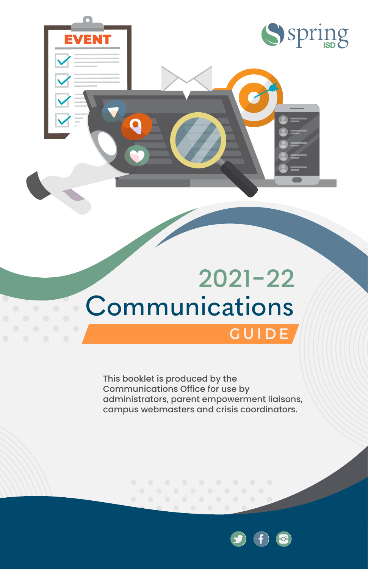

EVENT

This booklet is produced by the Communications Office for use by administrators, parent empowerment liaisons, campus webmasters and crisis coordinators.



**S** spring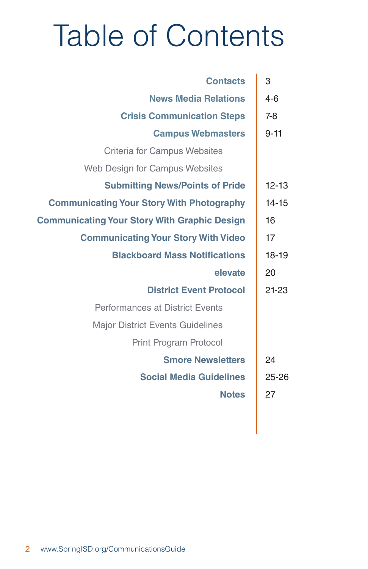# Table of Contents

| Contacts                                            | 3         |
|-----------------------------------------------------|-----------|
| <b>News Media Relations</b>                         | $4-6$     |
| <b>Crisis Communication Steps</b>                   | $7-8$     |
| <b>Campus Webmasters</b>                            | $9 - 11$  |
| Criteria for Campus Websites                        |           |
| Web Design for Campus Websites                      |           |
| <b>Submitting News/Points of Pride</b>              | $12 - 13$ |
| <b>Communicating Your Story With Photography</b>    | $14 - 15$ |
| <b>Communicating Your Story With Graphic Design</b> | 16        |
| <b>Communicating Your Story With Video</b>          | 17        |
| <b>Blackboard Mass Notifications</b>                | $18 - 19$ |
| elevate                                             | 20        |
| <b>District Event Protocol</b>                      | 21-23     |
| Performances at District Events                     |           |
| <b>Major District Events Guidelines</b>             |           |
| <b>Print Program Protocol</b>                       |           |
| <b>Smore Newsletters</b>                            | 24        |
| <b>Social Media Guidelines</b>                      | $25 - 26$ |
| <b>Notes</b>                                        | 27        |
|                                                     |           |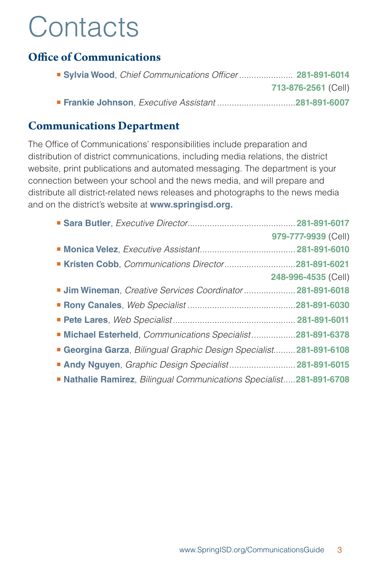## **Contacts**

#### **Office of Communications**

| 713-876-2561 (Cell) |
|---------------------|
|                     |

#### **Communications Department**

The Office of Communications' responsibilities include preparation and distribution of district communications, including media relations, the district website, print publications and automated messaging. The department is your connection between your school and the news media, and will prepare and distribute all district-related news releases and photographs to the news media and on the district's website at **www.springisd.org.**

|                                                                     | 979-777-9939 (Cell) |
|---------------------------------------------------------------------|---------------------|
|                                                                     |                     |
| Kristen Cobb, Communications Director281-891-6021                   |                     |
|                                                                     | 248-996-4535 (Cell) |
| I Jim Wineman, Creative Services Coordinator 281-891-6018           |                     |
|                                                                     |                     |
|                                                                     |                     |
| Michael Esterheld, Communications Specialist281-891-6378            |                     |
| Georgina Garza, Bilingual Graphic Design Specialist 281-891-6108    |                     |
| Andy Nguyen, Graphic Design Specialist281-891-6015                  |                     |
| ■ Nathalie Ramirez, Bilingual Communications Specialist281-891-6708 |                     |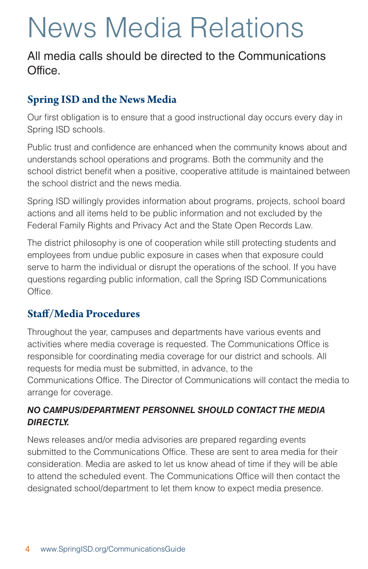# News Media Relations

#### All media calls should be directed to the Communications Office.

#### **Spring ISD and the News Media**

Our first obligation is to ensure that a good instructional day occurs every day in Spring ISD schools.

Public trust and confidence are enhanced when the community knows about and understands school operations and programs. Both the community and the school district benefit when a positive, cooperative attitude is maintained between the school district and the news media.

Spring ISD willingly provides information about programs, projects, school board actions and all items held to be public information and not excluded by the Federal Family Rights and Privacy Act and the State Open Records Law.

The district philosophy is one of cooperation while still protecting students and employees from undue public exposure in cases when that exposure could serve to harm the individual or disrupt the operations of the school. If you have questions regarding public information, call the Spring ISD Communications Office.

#### **Staff/Media Procedures**

Throughout the year, campuses and departments have various events and activities where media coverage is requested. The Communications Office is responsible for coordinating media coverage for our district and schools. All requests for media must be submitted, in advance, to the Communications Office. The Director of Communications will contact the media to arrange for coverage.

#### *NO CAMPUS/DEPARTMENT PERSONNEL SHOULD CONTACT THE MEDIA DIRECTLY.*

News releases and/or media advisories are prepared regarding events submitted to the Communications Office. These are sent to area media for their consideration. Media are asked to let us know ahead of time if they will be able to attend the scheduled event. The Communications Office will then contact the designated school/department to let them know to expect media presence.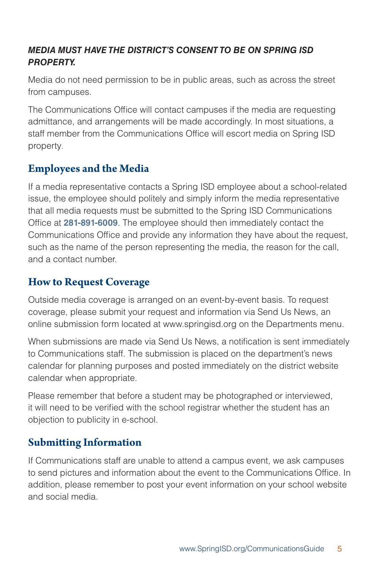#### *MEDIA MUST HAVE THE DISTRICT'S CONSENT TO BE ON SPRING ISD PROPERTY.*

Media do not need permission to be in public areas, such as across the street from campuses.

The Communications Office will contact campuses if the media are requesting admittance, and arrangements will be made accordingly. In most situations, a staff member from the Communications Office will escort media on Spring ISD property.

#### **Employees and the Media**

If a media representative contacts a Spring ISD employee about a school-related issue, the employee should politely and simply inform the media representative that all media requests must be submitted to the Spring ISD Communications Office at **281-891-6009**. The employee should then immediately contact the Communications Office and provide any information they have about the request, such as the name of the person representing the media, the reason for the call, and a contact number.

#### **How to Request Coverage**

Outside media coverage is arranged on an event-by-event basis. To request coverage, please submit your request and information via Send Us News, an online submission form located at www.springisd.org on the Departments menu.

When submissions are made via Send Us News, a notification is sent immediately to Communications staff. The submission is placed on the department's news calendar for planning purposes and posted immediately on the district website calendar when appropriate.

Please remember that before a student may be photographed or interviewed, it will need to be verified with the school registrar whether the student has an objection to publicity in e-school.

#### **Submitting Information**

If Communications staff are unable to attend a campus event, we ask campuses to send pictures and information about the event to the Communications Office. In addition, please remember to post your event information on your school website and social media.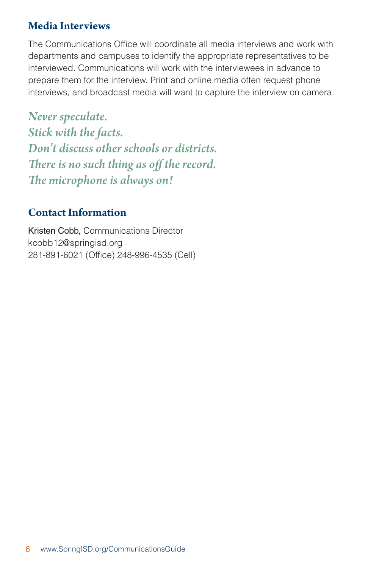#### **Media Interviews**

The Communications Office will coordinate all media interviews and work with departments and campuses to identify the appropriate representatives to be interviewed. Communications will work with the interviewees in advance to prepare them for the interview. Print and online media often request phone interviews, and broadcast media will want to capture the interview on camera.

*Never speculate. Stick with the facts. Don't discuss other schools or districts. There is no such thing as off the record. The microphone is always on!*

#### **Contact Information**

Kristen Cobb, Communications Director kcobb12@springisd.org 281-891-6021 (Office) 248-996-4535 (Cell)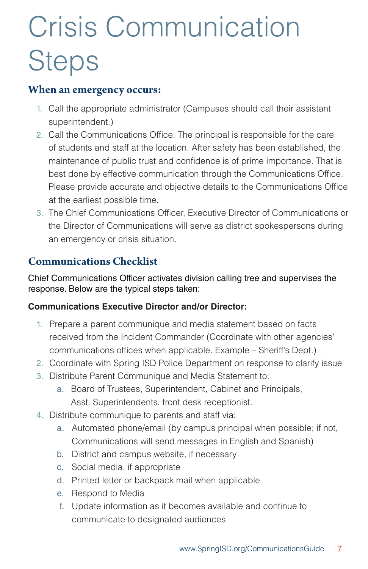# Crisis Communication **Steps**

#### **When an emergency occurs:**

- 1. Call the appropriate administrator (Campuses should call their assistant superintendent.)
- 2. Call the Communications Office. The principal is responsible for the care of students and staff at the location. After safety has been established, the maintenance of public trust and confidence is of prime importance. That is best done by effective communication through the Communications Office. Please provide accurate and objective details to the Communications Office at the earliest possible time.
- 3. The Chief Communications Officer, Executive Director of Communications or the Director of Communications will serve as district spokespersons during an emergency or crisis situation.

#### **Communications Checklist**

Chief Communications Officer activates division calling tree and supervises the response. Below are the typical steps taken:

#### **Communications Executive Director and/or Director:**

- 1. Prepare a parent communique and media statement based on facts received from the Incident Commander (Coordinate with other agencies' communications offices when applicable. Example – Sheriff's Dept.)
- 2. Coordinate with Spring ISD Police Department on response to clarify issue
- 3. Distribute Parent Communique and Media Statement to:
	- a. Board of Trustees, Superintendent, Cabinet and Principals, Asst. Superintendents, front desk receptionist.
- 4. Distribute communique to parents and staff via:
	- a. Automated phone/email (by campus principal when possible; if not, Communications will send messages in English and Spanish)
	- b. District and campus website, if necessary
	- c. Social media, if appropriate
	- d. Printed letter or backpack mail when applicable
	- e. Respond to Media
	- f. Update information as it becomes available and continue to communicate to designated audiences.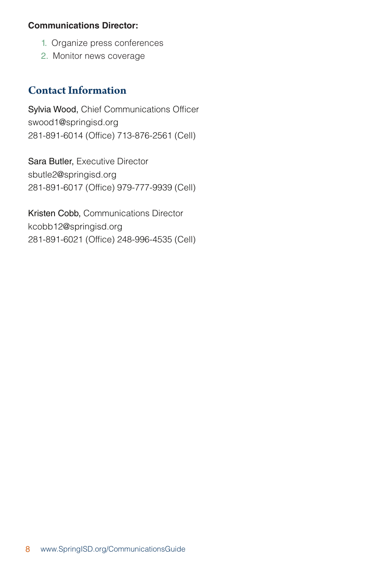#### **Communications Director:**

- 1. Organize press conferences
- 2. Monitor news coverage

#### **Contact Information**

Sylvia Wood, Chief Communications Officer swood1@springisd.org 281-891-6014 (Office) 713-876-2561 (Cell)

Sara Butler, Executive Director sbutle2@springisd.org 281-891-6017 (Office) 979-777-9939 (Cell)

Kristen Cobb, Communications Director kcobb12@springisd.org 281-891-6021 (Office) 248-996-4535 (Cell)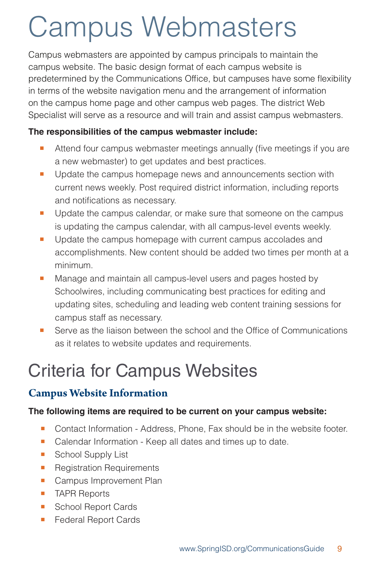# Campus Webmasters

Campus webmasters are appointed by campus principals to maintain the campus website. The basic design format of each campus website is predetermined by the Communications Office, but campuses have some flexibility in terms of the website navigation menu and the arrangement of information on the campus home page and other campus web pages. The district Web Specialist will serve as a resource and will train and assist campus webmasters.

#### **The responsibilities of the campus webmaster include:**

- � Attend four campus webmaster meetings annually (five meetings if you are a new webmaster) to get updates and best practices.
- **•** Update the campus homepage news and announcements section with current news weekly. Post required district information, including reports and notifications as necessary.
- **•** Update the campus calendar, or make sure that someone on the campus is updating the campus calendar, with all campus-level events weekly.
- **Update the campus homepage with current campus accolades and** accomplishments. New content should be added two times per month at a minimum.
- **Manage and maintain all campus-level users and pages hosted by** Schoolwires, including communicating best practices for editing and updating sites, scheduling and leading web content training sessions for campus staff as necessary.
- Serve as the liaison between the school and the Office of Communications as it relates to website updates and requirements.

### Criteria for Campus Websites

#### **Campus Website Information**

#### **The following items are required to be current on your campus website:**

- **•** Contact Information Address, Phone, Fax should be in the website footer.
- Calendar Information Keep all dates and times up to date.
- School Supply List
- **Registration Requirements**
- Campus Improvement Plan
- **TAPR Reports**
- School Report Cards
- Federal Report Cards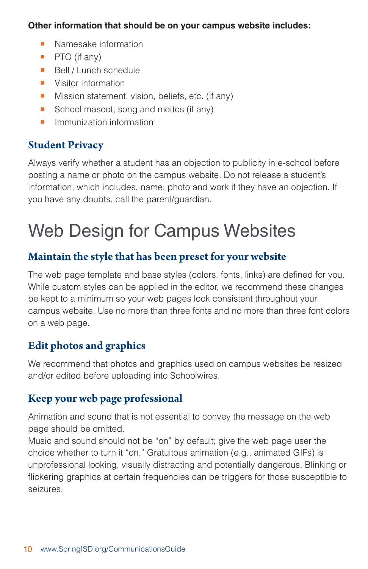#### **Other information that should be on your campus website includes:**

- Namesake information
- $\blacksquare$  PTO (if any)
- Bell / Lunch schedule
- **•** Visitor information
- **Mission statement, vision, beliefs, etc. (if any)**
- School mascot, song and mottos (if any)
- **•** Immunization information

#### **Student Privacy**

Always verify whether a student has an objection to publicity in e-school before posting a name or photo on the campus website. Do not release a student's information, which includes, name, photo and work if they have an objection. If you have any doubts, call the parent/guardian.

## Web Design for Campus Websites

#### **Maintain the style that has been preset for your website**

The web page template and base styles (colors, fonts, links) are defined for you. While custom styles can be applied in the editor, we recommend these changes be kept to a minimum so your web pages look consistent throughout your campus website. Use no more than three fonts and no more than three font colors on a web page.

#### **Edit photos and graphics**

We recommend that photos and graphics used on campus websites be resized and/or edited before uploading into Schoolwires.

#### **Keep your web page professional**

Animation and sound that is not essential to convey the message on the web page should be omitted.

Music and sound should not be "on" by default; give the web page user the choice whether to turn it "on." Gratuitous animation (e.g., animated GIFs) is unprofessional looking, visually distracting and potentially dangerous. Blinking or flickering graphics at certain frequencies can be triggers for those susceptible to seizures.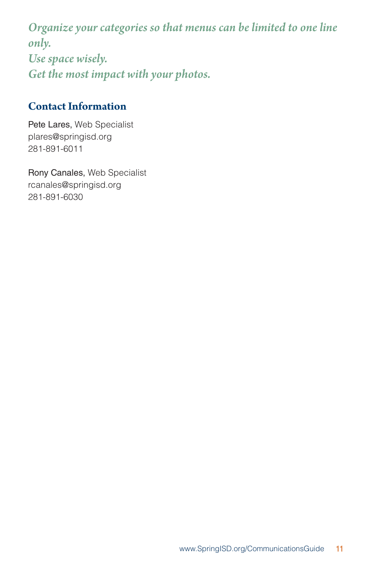*Organize your categories so that menus can be limited to one line only. Use space wisely. Get the most impact with your photos.*

#### **Contact Information**

Pete Lares, Web Specialist plares@springisd.org 281-891-6011

Rony Canales, Web Specialist rcanales@springisd.org 281-891-6030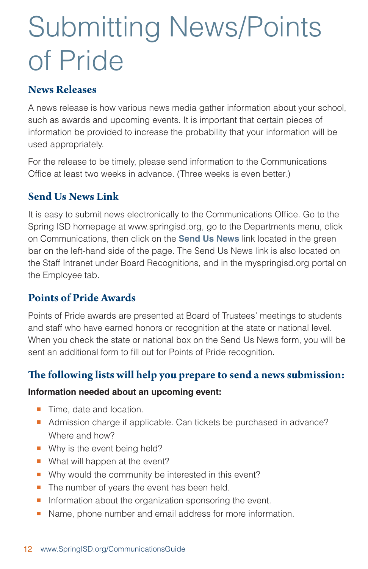# Submitting News/Points of Pride

#### **News Releases**

A news release is how various news media gather information about your school, such as awards and upcoming events. It is important that certain pieces of information be provided to increase the probability that your information will be used appropriately.

For the release to be timely, please send information to the Communications Office at least two weeks in advance. (Three weeks is even better.)

#### **Send Us News Link**

It is easy to submit news electronically to the Communications Office. Go to the Spring ISD homepage at www.springisd.org, go to the Departments menu, click on Communications, then click on the **Send Us News** link located in the green bar on the left-hand side of the page. The Send Us News link is also located on the Staff Intranet under Board Recognitions, and in the myspringisd.org portal on the Employee tab.

#### **Points of Pride Awards**

Points of Pride awards are presented at Board of Trustees' meetings to students and staff who have earned honors or recognition at the state or national level. When you check the state or national box on the Send Us News form, you will be sent an additional form to fill out for Points of Pride recognition.

#### **The following lists will help you prepare to send a news submission:**

#### **Information needed about an upcoming event:**

- Time, date and location.
- Admission charge if applicable. Can tickets be purchased in advance? Where and how?
- Why is the event being held?
- **What will happen at the event?**
- Why would the community be interested in this event?
- The number of years the event has been held.
- **•** Information about the organization sponsoring the event.
- Name, phone number and email address for more information.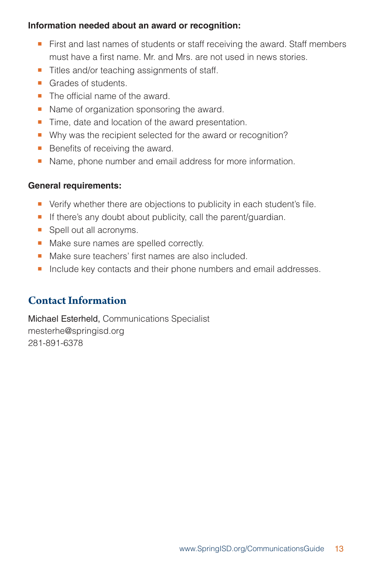#### **Information needed about an award or recognition:**

- **First and last names of students or staff receiving the award. Staff members** must have a first name. Mr. and Mrs. are not used in news stories.
- Titles and/or teaching assignments of staff.
- **Grades of students.**
- The official name of the award.
- Name of organization sponsoring the award.
- Time, date and location of the award presentation.
- Why was the recipient selected for the award or recognition?
- Benefits of receiving the award.
- Name, phone number and email address for more information.

#### **General requirements:**

- **•** Verify whether there are objections to publicity in each student's file.
- **If there's any doubt about publicity, call the parent/guardian.**
- Spell out all acronyms.
- Make sure names are spelled correctly.
- Make sure teachers' first names are also included.
- **•** Include key contacts and their phone numbers and email addresses.

#### **Contact Information**

Michael Esterheld, Communications Specialist mesterhe@springisd.org 281-891-6378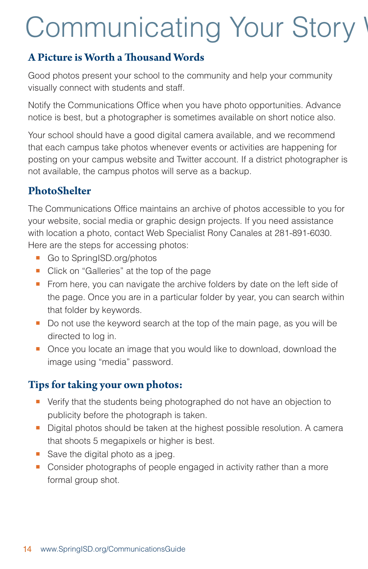# Communicating Your Story '

#### **A Picture is Worth a Thousand Words**

Good photos present your school to the community and help your community visually connect with students and staff.

Notify the Communications Office when you have photo opportunities. Advance notice is best, but a photographer is sometimes available on short notice also.

Your school should have a good digital camera available, and we recommend that each campus take photos whenever events or activities are happening for posting on your campus website and Twitter account. If a district photographer is not available, the campus photos will serve as a backup.

#### **PhotoShelter**

The Communications Office maintains an archive of photos accessible to you for your website, social media or graphic design projects. If you need assistance with location a photo, contact Web Specialist Rony Canales at 281-891-6030. Here are the steps for accessing photos:

- Go to SpringISD.org/photos
- Click on "Galleries" at the top of the page
- **From here, you can navigate the archive folders by date on the left side of** the page. Once you are in a particular folder by year, you can search within that folder by keywords.
- Do not use the keyword search at the top of the main page, as you will be directed to log in.
- Once you locate an image that you would like to download, download the image using "media" password.

#### **Tips for taking your own photos:**

- Verify that the students being photographed do not have an objection to publicity before the photograph is taken.
- **•** Digital photos should be taken at the highest possible resolution. A camera that shoots 5 megapixels or higher is best.
- $\blacksquare$  Save the digital photo as a jpeg.
- Consider photographs of people engaged in activity rather than a more formal group shot.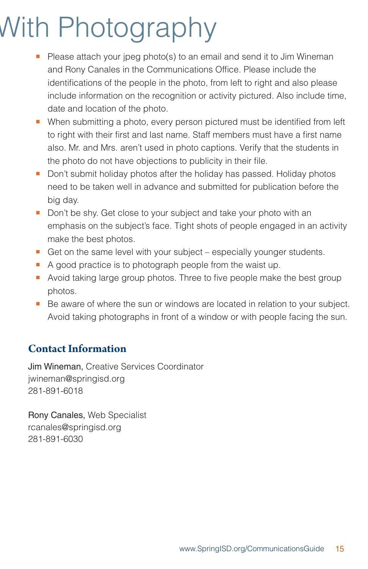# With Photography

- **•** Please attach your jpeg photo(s) to an email and send it to Jim Wineman and Rony Canales in the Communications Office. Please include the identifications of the people in the photo, from left to right and also please include information on the recognition or activity pictured. Also include time, date and location of the photo.
- When submitting a photo, every person pictured must be identified from left to right with their first and last name. Staff members must have a first name also. Mr. and Mrs. aren't used in photo captions. Verify that the students in the photo do not have objections to publicity in their file.
- **•** Don't submit holiday photos after the holiday has passed. Holiday photos need to be taken well in advance and submitted for publication before the big day.
- Don't be shy. Get close to your subject and take your photo with an emphasis on the subject's face. Tight shots of people engaged in an activity make the best photos.
- $\blacksquare$  Get on the same level with your subject especially younger students.
- A good practice is to photograph people from the waist up.
- Avoid taking large group photos. Three to five people make the best group photos.
- Be aware of where the sun or windows are located in relation to your subject. Avoid taking photographs in front of a window or with people facing the sun.

#### **Contact Information**

Jim Wineman, Creative Services Coordinator jwineman@springisd.org 281-891-6018

Rony Canales, Web Specialist rcanales@springisd.org 281-891-6030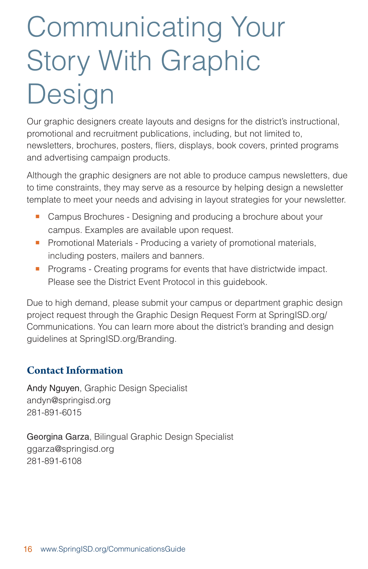# Communicating Your Story With Graphic **Design**

Our graphic designers create layouts and designs for the district's instructional, promotional and recruitment publications, including, but not limited to, newsletters, brochures, posters, fliers, displays, book covers, printed programs and advertising campaign products.

Although the graphic designers are not able to produce campus newsletters, due to time constraints, they may serve as a resource by helping design a newsletter template to meet your needs and advising in layout strategies for your newsletter.

- Campus Brochures Designing and producing a brochure about your campus. Examples are available upon request.
- **Promotional Materials Producing a variety of promotional materials,** including posters, mailers and banners.
- **Programs Creating programs for events that have districtwide impact.** Please see the District Event Protocol in this guidebook.

Due to high demand, please submit your campus or department graphic design project request through the Graphic Design Request Form at SpringISD.org/ Communications. You can learn more about the district's branding and design guidelines at SpringISD.org/Branding.

#### **Contact Information**

Andy Nguyen, Graphic Design Specialist andyn@springisd.org 281-891-6015

Georgina Garza, Bilingual Graphic Design Specialist ggarza@springisd.org 281-891-6108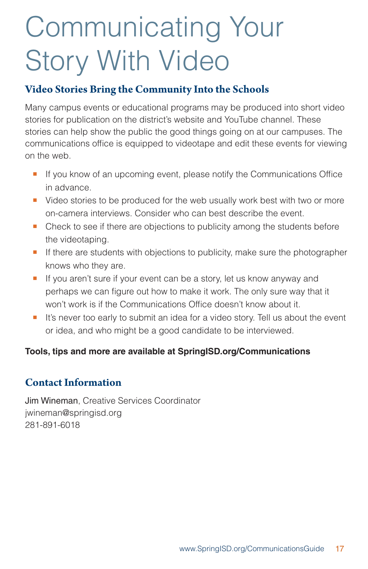# Communicating Your Story With Video

#### **Video Stories Bring the Community Into the Schools**

Many campus events or educational programs may be produced into short video stories for publication on the district's website and YouTube channel. These stories can help show the public the good things going on at our campuses. The communications office is equipped to videotape and edit these events for viewing on the web.

- **•** If you know of an upcoming event, please notify the Communications Office in advance.
- **•** Video stories to be produced for the web usually work best with two or more on-camera interviews. Consider who can best describe the event.
- Check to see if there are objections to publicity among the students before the videotaping.
- **If there are students with objections to publicity, make sure the photographer** knows who they are.
- **If you aren't sure if your event can be a story, let us know anyway and** perhaps we can figure out how to make it work. The only sure way that it won't work is if the Communications Office doesn't know about it.
- **I** It's never too early to submit an idea for a video story. Tell us about the event or idea, and who might be a good candidate to be interviewed.

#### **Tools, tips and more are available at SpringISD.org/Communications**

#### **Contact Information**

Jim Wineman, Creative Services Coordinator jwineman@springisd.org 281-891-6018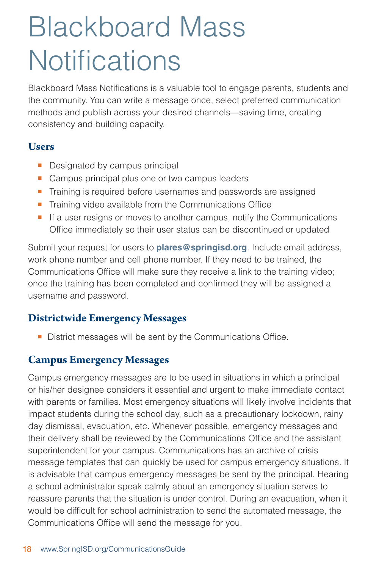# Blackboard Mass **Notifications**

Blackboard Mass Notifications is a valuable tool to engage parents, students and the community. You can write a message once, select preferred communication methods and publish across your desired channels—saving time, creating consistency and building capacity.

#### **Users**

- Designated by campus principal
- Campus principal plus one or two campus leaders
- **Training is required before usernames and passwords are assigned**
- **Training video available from the Communications Office**
- If a user resigns or moves to another campus, notify the Communications Office immediately so their user status can be discontinued or updated

Submit your request for users to **plares@springisd.org**. Include email address, work phone number and cell phone number. If they need to be trained, the Communications Office will make sure they receive a link to the training video; once the training has been completed and confirmed they will be assigned a username and password.

#### **Districtwide Emergency Messages**

**District messages will be sent by the Communications Office.** 

#### **Campus Emergency Messages**

Campus emergency messages are to be used in situations in which a principal or his/her designee considers it essential and urgent to make immediate contact with parents or families. Most emergency situations will likely involve incidents that impact students during the school day, such as a precautionary lockdown, rainy day dismissal, evacuation, etc. Whenever possible, emergency messages and their delivery shall be reviewed by the Communications Office and the assistant superintendent for your campus. Communications has an archive of crisis message templates that can quickly be used for campus emergency situations. It is advisable that campus emergency messages be sent by the principal. Hearing a school administrator speak calmly about an emergency situation serves to reassure parents that the situation is under control. During an evacuation, when it would be difficult for school administration to send the automated message, the Communications Office will send the message for you.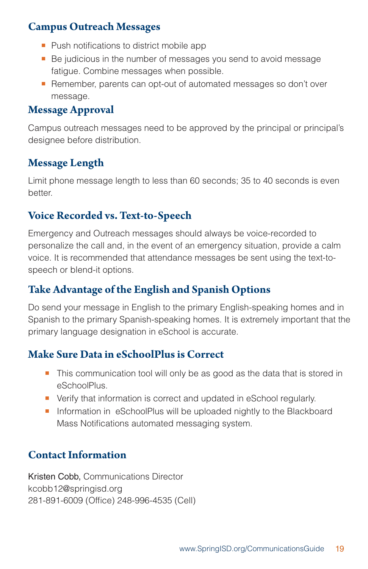#### **Campus Outreach Messages**

- Push notifications to district mobile app
- Be judicious in the number of messages you send to avoid message fatigue. Combine messages when possible.
- Remember, parents can opt-out of automated messages so don't over message.

#### **Message Approval**

Campus outreach messages need to be approved by the principal or principal's designee before distribution.

#### **Message Length**

Limit phone message length to less than 60 seconds; 35 to 40 seconds is even better.

#### **Voice Recorded vs. Text-to-Speech**

Emergency and Outreach messages should always be voice-recorded to personalize the call and, in the event of an emergency situation, provide a calm voice. It is recommended that attendance messages be sent using the text-tospeech or blend-it options.

#### **Take Advantage of the English and Spanish Options**

Do send your message in English to the primary English-speaking homes and in Spanish to the primary Spanish-speaking homes. It is extremely important that the primary language designation in eSchool is accurate.

#### **Make Sure Data in eSchoolPlus is Correct**

- **•** This communication tool will only be as good as the data that is stored in eSchoolPlus.
- Verify that information is correct and updated in eSchool regularly.
- **•** Information in eSchoolPlus will be uploaded nightly to the Blackboard Mass Notifications automated messaging system.

#### **Contact Information**

Kristen Cobb, Communications Director kcobb12@springisd.org 281-891-6009 (Office) 248-996-4535 (Cell)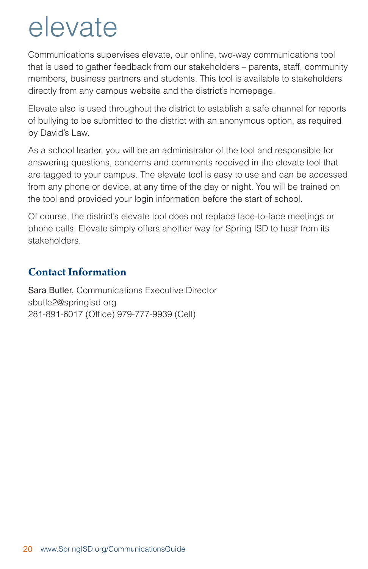## elevate

Communications supervises elevate, our online, two-way communications tool that is used to gather feedback from our stakeholders – parents, staff, community members, business partners and students. This tool is available to stakeholders directly from any campus website and the district's homepage.

Elevate also is used throughout the district to establish a safe channel for reports of bullying to be submitted to the district with an anonymous option, as required by David's Law.

As a school leader, you will be an administrator of the tool and responsible for answering questions, concerns and comments received in the elevate tool that are tagged to your campus. The elevate tool is easy to use and can be accessed from any phone or device, at any time of the day or night. You will be trained on the tool and provided your login information before the start of school.

Of course, the district's elevate tool does not replace face-to-face meetings or phone calls. Elevate simply offers another way for Spring ISD to hear from its stakeholders.

#### **Contact Information**

Sara Butler, Communications Executive Director sbutle2@springisd.org 281-891-6017 (Office) 979-777-9939 (Cell)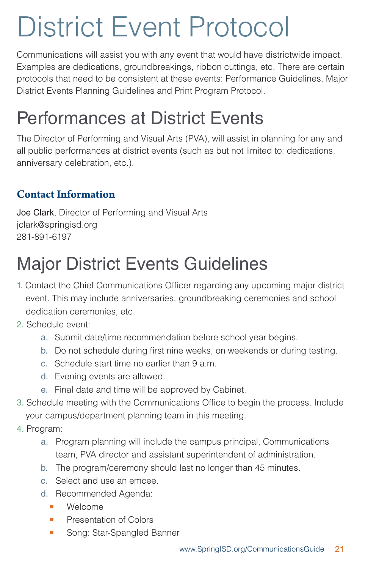# District Event Protocol

Communications will assist you with any event that would have districtwide impact. Examples are dedications, groundbreakings, ribbon cuttings, etc. There are certain protocols that need to be consistent at these events: Performance Guidelines, Major District Events Planning Guidelines and Print Program Protocol.

## Performances at District Events

The Director of Performing and Visual Arts (PVA), will assist in planning for any and all public performances at district events (such as but not limited to: dedications, anniversary celebration, etc.).

#### **Contact Information**

Joe Clark, Director of Performing and Visual Arts jclark@springisd.org 281-891-6197

## Major District Events Guidelines

- 1. Contact the Chief Communications Officer regarding any upcoming major district event. This may include anniversaries, groundbreaking ceremonies and school dedication ceremonies, etc.
- 2. Schedule event:
	- a. Submit date/time recommendation before school year begins.
	- b. Do not schedule during first nine weeks, on weekends or during testing.
	- c. Schedule start time no earlier than 9 a.m.
	- d. Evening events are allowed.
	- e. Final date and time will be approved by Cabinet.
- 3. Schedule meeting with the Communications Office to begin the process. Include your campus/department planning team in this meeting.
- 4. Program:
	- a. Program planning will include the campus principal, Communications team, PVA director and assistant superintendent of administration.
	- b. The program/ceremony should last no longer than 45 minutes.
	- c. Select and use an emcee.
	- d. Recommended Agenda:
		- **Nelcome**
		- **Presentation of Colors**
		- Song: Star-Spangled Banner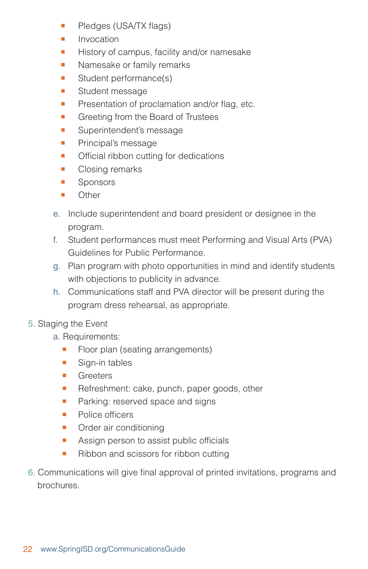- Pledges (USA/TX flags)
- **D** Invocation
- **History of campus, facility and/or namesake**
- Namesake or family remarks
- Student performance(s)
- **BE** Student message
- **Presentation of proclamation and/or flag, etc.**
- Greeting from the Board of Trustees
- **B** Superintendent's message
- **•** Principal's message
- **•** Official ribbon cutting for dedications
- Closing remarks
- **B** Sponsors
- **D** Other
- e. Include superintendent and board president or designee in the program.
- f. Student performances must meet Performing and Visual Arts (PVA) Guidelines for Public Performance.
- g. Plan program with photo opportunities in mind and identify students with objections to publicity in advance.
- h. Communications staff and PVA director will be present during the program dress rehearsal, as appropriate.
- 5. Staging the Event
	- a. Requirements:
		- Floor plan (seating arrangements)
		- Sign-in tables
		- **B** Greeters
		- **•** Refreshment: cake, punch, paper goods, other
		- **Parking: reserved space and signs**
		- Police officers
		- **•** Order air conditioning
		- **Assign person to assist public officials**
		- Ribbon and scissors for ribbon cutting
- 6. Communications will give final approval of printed invitations, programs and brochures.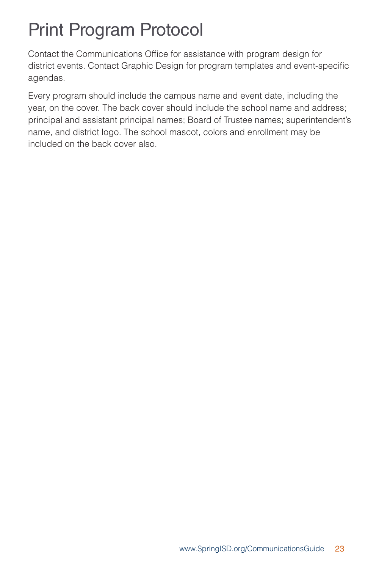### Print Program Protocol

Contact the Communications Office for assistance with program design for district events. Contact Graphic Design for program templates and event-specific agendas.

Every program should include the campus name and event date, including the year, on the cover. The back cover should include the school name and address; principal and assistant principal names; Board of Trustee names; superintendent's name, and district logo. The school mascot, colors and enrollment may be included on the back cover also.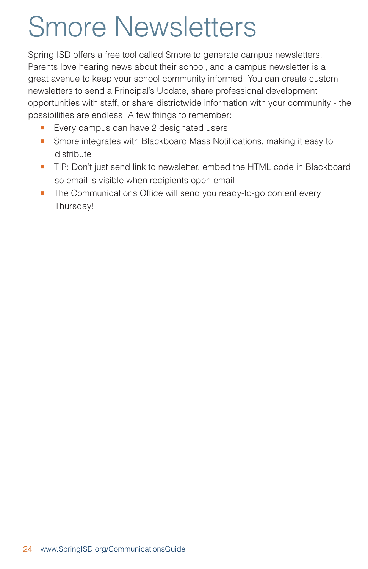# Smore Newsletters

Spring ISD offers a free tool called Smore to generate campus newsletters. Parents love hearing news about their school, and a campus newsletter is a great avenue to keep your school community informed. You can create custom newsletters to send a Principal's Update, share professional development opportunities with staff, or share districtwide information with your community - the possibilities are endless! A few things to remember:

- Every campus can have 2 designated users
- Smore integrates with Blackboard Mass Notifications, making it easy to distribute
- **TIP:** Don't just send link to newsletter, embed the HTML code in Blackboard so email is visible when recipients open email
- The Communications Office will send you ready-to-go content every Thursday!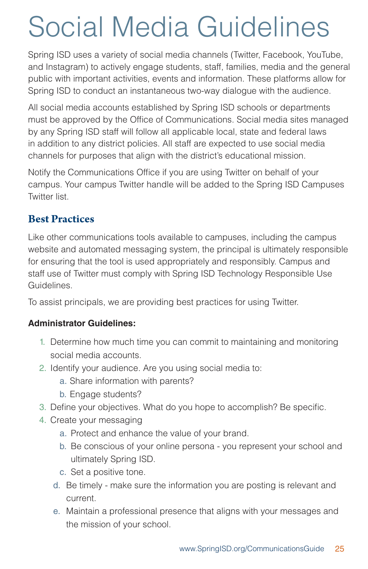# Social Media Guidelines

Spring ISD uses a variety of social media channels (Twitter, Facebook, YouTube, and Instagram) to actively engage students, staff, families, media and the general public with important activities, events and information. These platforms allow for Spring ISD to conduct an instantaneous two-way dialogue with the audience.

All social media accounts established by Spring ISD schools or departments must be approved by the Office of Communications. Social media sites managed by any Spring ISD staff will follow all applicable local, state and federal laws in addition to any district policies. All staff are expected to use social media channels for purposes that align with the district's educational mission.

Notify the Communications Office if you are using Twitter on behalf of your campus. Your campus Twitter handle will be added to the Spring ISD Campuses Twitter list.

#### **Best Practices**

Like other communications tools available to campuses, including the campus website and automated messaging system, the principal is ultimately responsible for ensuring that the tool is used appropriately and responsibly. Campus and staff use of Twitter must comply with Spring ISD Technology Responsible Use Guidelines.

To assist principals, we are providing best practices for using Twitter.

#### **Administrator Guidelines:**

- 1. Determine how much time you can commit to maintaining and monitoring social media accounts.
- 2. Identify your audience. Are you using social media to:
	- a. Share information with parents?
	- b. Engage students?
- 3. Define your objectives. What do you hope to accomplish? Be specific.
- 4. Create your messaging
	- a. Protect and enhance the value of your brand.
	- b. Be conscious of your online persona you represent your school and ultimately Spring ISD.
	- c. Set a positive tone.
	- d. Be timely make sure the information you are posting is relevant and current.
	- e. Maintain a professional presence that aligns with your messages and the mission of your school.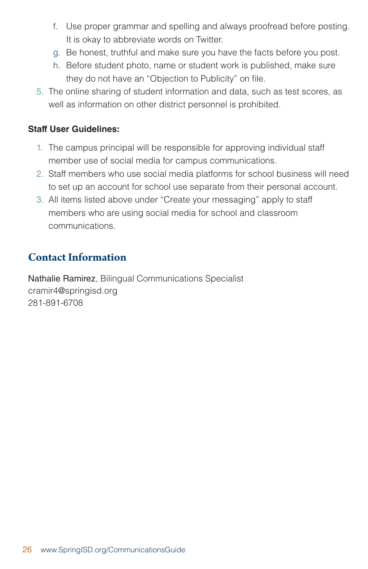- f. Use proper grammar and spelling and always proofread before posting. It is okay to abbreviate words on Twitter.
- g. Be honest, truthful and make sure you have the facts before you post.
- h. Before student photo, name or student work is published, make sure they do not have an "Objection to Publicity" on file.
- 5. The online sharing of student information and data, such as test scores, as well as information on other district personnel is prohibited.

#### **Staff User Guidelines:**

- 1. The campus principal will be responsible for approving individual staff member use of social media for campus communications.
- 2. Staff members who use social media platforms for school business will need to set up an account for school use separate from their personal account.
- 3. All items listed above under "Create your messaging" apply to staff members who are using social media for school and classroom communications.

#### **Contact Information**

Nathalie Ramirez, Bilingual Communications Specialist cramir4@springisd.org 281-891-6708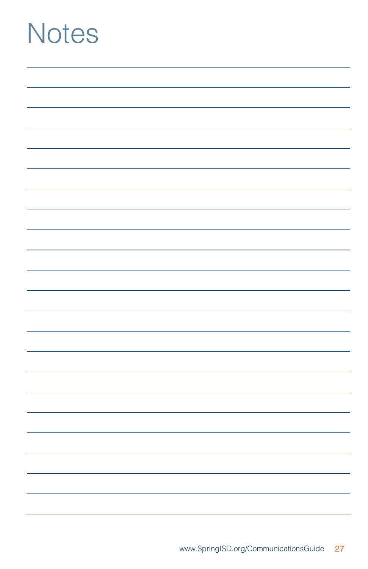## **Notes**